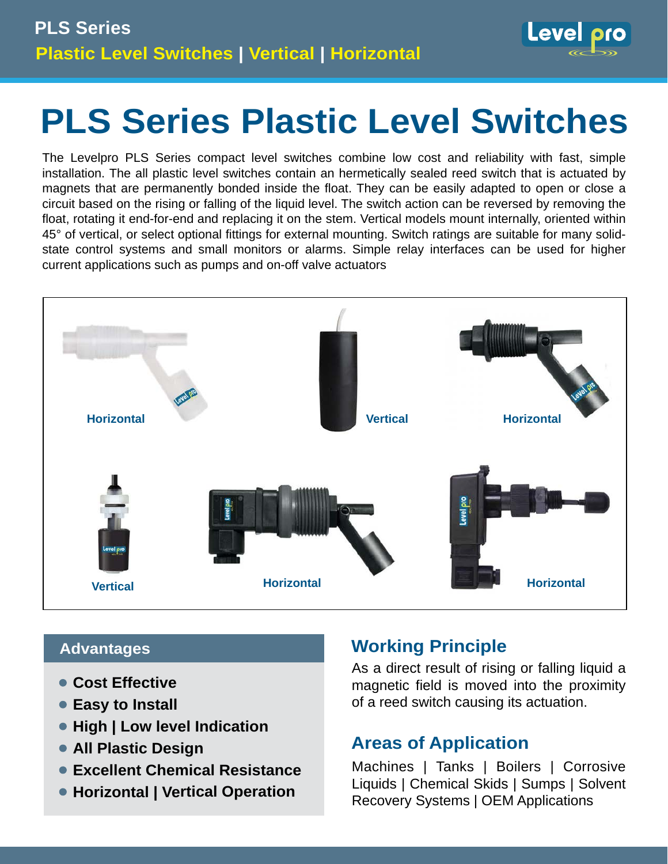

The Levelpro PLS Series compact level switches combine low cost and reliability with fast, simple installation. The all plastic level switches contain an hermetically sealed reed switch that is actuated by magnets that are permanently bonded inside the float. They can be easily adapted to open or close a circuit based on the rising or falling of the liquid level. The switch action can be reversed by removing the float, rotating it end-for-end and replacing it on the stem. Vertical models mount internally, oriented within 45° of vertical, or select optional fittings for external mounting. Switch ratings are suitable for many solidstate control systems and small monitors or alarms. Simple relay interfaces can be used for higher current applications such as pumps and on-off valve actuators



### **Advantages**

- **Cost Effective**
- **Easy to Install** •
- **High | Low level Indication** •
- **All Plastic Design** •
- **Excellent Chemical Resistance** •
- **Horizontal | Vertical Operation** •

## **Working Principle**

As a direct result of rising or falling liquid a magnetic field is moved into the proximity of a reed switch causing its actuation.

Level pro

# **Areas of Application**

Machines | Tanks | Boilers | Corrosive Liquids | Chemical Skids | Sumps | Solvent Recovery Systems | OEM Applications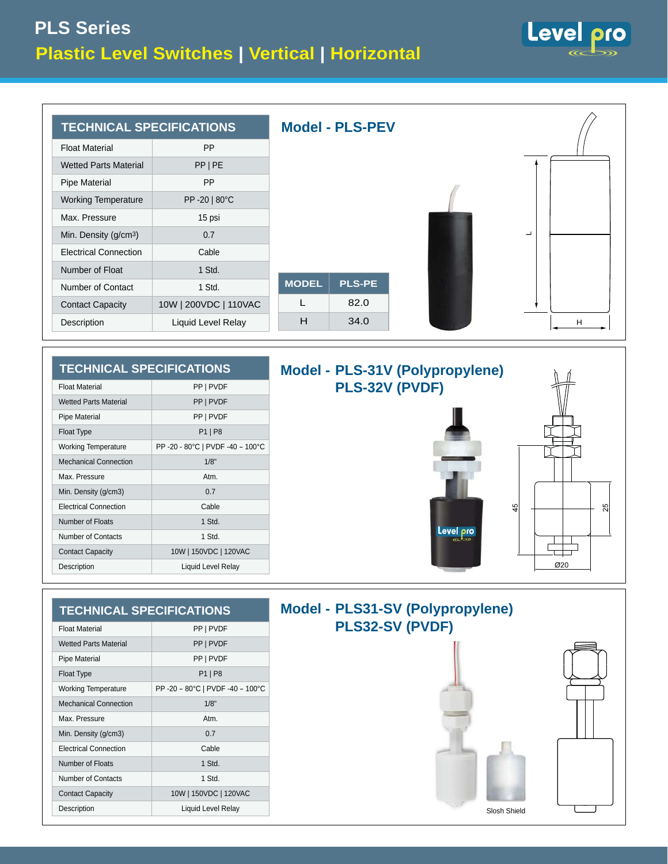| <b>TECHNICAL SPECIFICATIONS</b>   |                       |              | <b>Model - PLS-PEV</b> |
|-----------------------------------|-----------------------|--------------|------------------------|
| <b>Float Material</b>             | PP                    |              |                        |
| <b>Wetted Parts Material</b>      | PP   PE               |              |                        |
| <b>Pipe Material</b>              | PP                    |              |                        |
| <b>Working Temperature</b>        | PP-20   80°C          |              |                        |
| Max. Pressure                     | 15 psi                |              |                        |
| Min. Density (g/cm <sup>3</sup> ) | 0.7                   |              |                        |
| <b>Electrical Connection</b>      | Cable                 |              |                        |
| Number of Float                   | 1 Std.                |              |                        |
| Number of Contact                 | 1 Std.                | <b>MODEL</b> | <b>PLS-PE</b>          |
| <b>Contact Capacity</b>           | 10W   200VDC   110VAC | L            | 82.0                   |
| Description                       | Liquid Level Relay    | Н            | 34.0                   |

| <b>TECHNICAL SPECIFICATIONS</b> |  |
|---------------------------------|--|
|                                 |  |

| <b>Float Material</b>        | PP   PVDF                      |  |
|------------------------------|--------------------------------|--|
| <b>Wetted Parts Material</b> | PP   PVDF                      |  |
| Pipe Material                | PP   PVDF                      |  |
| <b>Float Type</b>            | $P1$   P8                      |  |
| <b>Working Temperature</b>   | PP-20 - 80°C   PVDF-40 - 100°C |  |
| <b>Mechanical Connection</b> | 1/8"                           |  |
| Max Pressure                 | Atm                            |  |
| Min. Density (g/cm3)         | 0.7                            |  |
| <b>Electrical Connection</b> | Cable                          |  |
| Number of Floats             | 1 Std.                         |  |
| Number of Contacts           | 1 Std.                         |  |
| <b>Contact Capacity</b>      | 10W   150VDC   120VAC          |  |
| Description                  | <b>Liquid Level Relay</b>      |  |

# **PLS-31V (Polypropylene) Model - PLS-32V (PVDF)**



| <b>TECHNICAL SPECIFICATIONS</b> |                            |
|---------------------------------|----------------------------|
| <b>Float Material</b>           | PP   PVDF                  |
| <b>Wetted Parts Material</b>    | PP   PVDF                  |
| Pipe Material                   | PP   PVDF                  |
| Float Type                      | P1   P8                    |
| <b>Working Temperature</b>      | PP-20-80°C   PVDF-40-100°C |
| <b>Mechanical Connection</b>    | 1/8"                       |
| Max. Pressure                   | Atm.                       |
| Min. Density (g/cm3)            | 0.7                        |
| <b>Electrical Connection</b>    | Cable                      |
| Number of Floats                | 1 Std.                     |
| Number of Contacts              | 1 Std.                     |
| <b>Contact Capacity</b>         | 10W   150VDC   120VAC      |
| Description                     | Liquid Level Relay         |

# **PLS31-SV (Polypropylene) Model - PLS32-SV (PVDF)**



 $25$